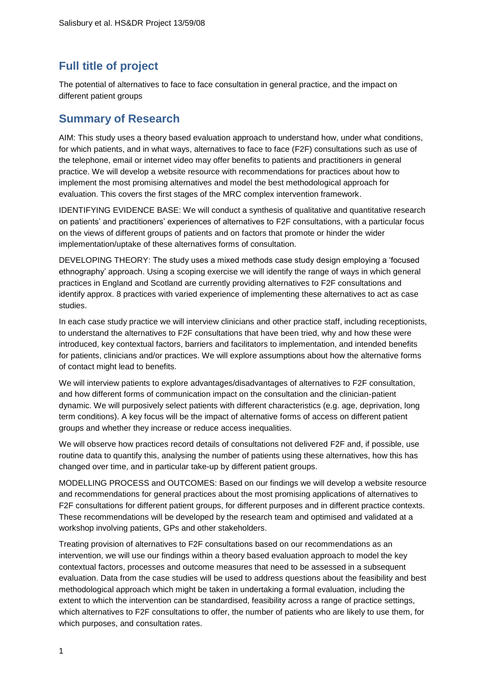## **Full title of project**

The potential of alternatives to face to face consultation in general practice, and the impact on different patient groups

## **Summary of Research**

AIM: This study uses a theory based evaluation approach to understand how, under what conditions, for which patients, and in what ways, alternatives to face to face (F2F) consultations such as use of the telephone, email or internet video may offer benefits to patients and practitioners in general practice. We will develop a website resource with recommendations for practices about how to implement the most promising alternatives and model the best methodological approach for evaluation. This covers the first stages of the MRC complex intervention framework.

IDENTIFYING EVIDENCE BASE: We will conduct a synthesis of qualitative and quantitative research on patients' and practitioners' experiences of alternatives to F2F consultations, with a particular focus on the views of different groups of patients and on factors that promote or hinder the wider implementation/uptake of these alternatives forms of consultation.

DEVELOPING THEORY: The study uses a mixed methods case study design employing a 'focused ethnography' approach. Using a scoping exercise we will identify the range of ways in which general practices in England and Scotland are currently providing alternatives to F2F consultations and identify approx. 8 practices with varied experience of implementing these alternatives to act as case studies.

In each case study practice we will interview clinicians and other practice staff, including receptionists, to understand the alternatives to F2F consultations that have been tried, why and how these were introduced, key contextual factors, barriers and facilitators to implementation, and intended benefits for patients, clinicians and/or practices. We will explore assumptions about how the alternative forms of contact might lead to benefits.

We will interview patients to explore advantages/disadvantages of alternatives to F2F consultation, and how different forms of communication impact on the consultation and the clinician-patient dynamic. We will purposively select patients with different characteristics (e.g. age, deprivation, long term conditions). A key focus will be the impact of alternative forms of access on different patient groups and whether they increase or reduce access inequalities.

We will observe how practices record details of consultations not delivered F2F and, if possible, use routine data to quantify this, analysing the number of patients using these alternatives, how this has changed over time, and in particular take-up by different patient groups.

MODELLING PROCESS and OUTCOMES: Based on our findings we will develop a website resource and recommendations for general practices about the most promising applications of alternatives to F2F consultations for different patient groups, for different purposes and in different practice contexts. These recommendations will be developed by the research team and optimised and validated at a workshop involving patients, GPs and other stakeholders.

Treating provision of alternatives to F2F consultations based on our recommendations as an intervention, we will use our findings within a theory based evaluation approach to model the key contextual factors, processes and outcome measures that need to be assessed in a subsequent evaluation. Data from the case studies will be used to address questions about the feasibility and best methodological approach which might be taken in undertaking a formal evaluation, including the extent to which the intervention can be standardised, feasibility across a range of practice settings, which alternatives to F2F consultations to offer, the number of patients who are likely to use them, for which purposes, and consultation rates.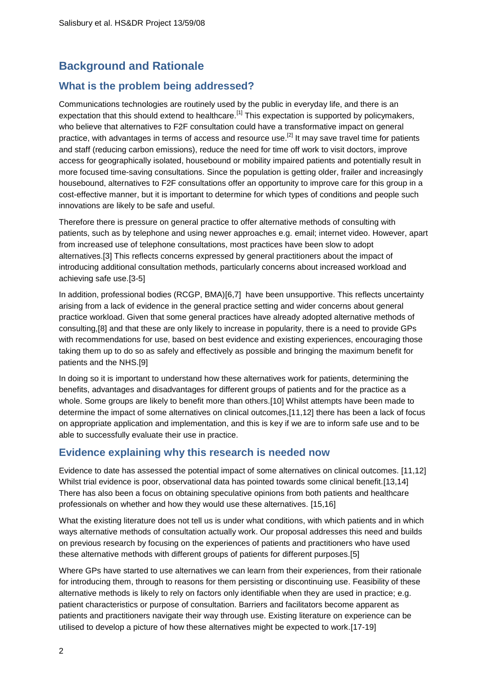# **Background and Rationale**

## **What is the problem being addressed?**

Communications technologies are routinely used by the public in everyday life, and there is an expectation that this should extend to healthcare.<sup>[\[1\]](#page-20-0)</sup> This expectation is supported by policymakers, who believe that alternatives to F2F consultation could have a transformative impact on general practice, with advantages in terms of access and resource use.<sup>[\[2\]](#page-20-1)</sup> It may save travel time for patients and staff (reducing carbon emissions), reduce the need for time off work to visit doctors, improve access for geographically isolated, housebound or mobility impaired patients and potentially result in more focused time-saving consultations. Since the population is getting older, frailer and increasingly housebound, alternatives to F2F consultations offer an opportunity to improve care for this group in a cost-effective manner, but it is important to determine for which types of conditions and people such innovations are likely to be safe and useful.

Therefore there is pressure on general practice to offer alternative methods of consulting with patients, such as by telephone and using newer approaches e.g. email; internet video. However, apart from increased use of telephone consultations, most practices have been slow to adopt alternatives.[\[3\]](#page-20-2) This reflects concerns expressed by general practitioners about the impact of introducing additional consultation methods, particularly concerns about increased workload and achieving safe use.[\[3-5\]](#page-20-2)

In addition, professional bodies (RCGP, BMA)[\[6](#page-20-3)[,7\]](#page-20-4) have been unsupportive. This reflects uncertainty arising from a lack of evidence in the general practice setting and wider concerns about general practice workload. Given that some general practices have already adopted alternative methods of consulting,[\[8\]](#page-20-5) and that these are only likely to increase in popularity, there is a need to provide GPs with recommendations for use, based on best evidence and existing experiences, encouraging those taking them up to do so as safely and effectively as possible and bringing the maximum benefit for patients and the NHS.[\[9\]](#page-20-6)

In doing so it is important to understand how these alternatives work for patients, determining the benefits, advantages and disadvantages for different groups of patients and for the practice as a whole. Some groups are likely to benefit more than others.[\[10\]](#page-20-7) Whilst attempts have been made to determine the impact of some alternatives on clinical outcomes,[\[11](#page-20-8)[,12\]](#page-20-9) there has been a lack of focus on appropriate application and implementation, and this is key if we are to inform safe use and to be able to successfully evaluate their use in practice.

## **Evidence explaining why this research is needed now**

Evidence to date has assessed the potential impact of some alternatives on clinical outcomes. [\[11,](#page-20-8)[12\]](#page-20-9) Whilst trial evidence is poor, observational data has pointed towards some clinical benefit.[\[13](#page-20-10)[,14\]](#page-20-11) There has also been a focus on obtaining speculative opinions from both patients and healthcare professionals on whether and how they would use these alternatives. [\[15](#page-20-12)[,16\]](#page-20-13)

What the existing literature does not tell us is under what conditions, with which patients and in which ways alternative methods of consultation actually work. Our proposal addresses this need and builds on previous research by focusing on the experiences of patients and practitioners who have used these alternative methods with different groups of patients for different purposes.[\[5\]](#page-20-14)

Where GPs have started to use alternatives we can learn from their experiences, from their rationale for introducing them, through to reasons for them persisting or discontinuing use. Feasibility of these alternative methods is likely to rely on factors only identifiable when they are used in practice; e.g. patient characteristics or purpose of consultation. Barriers and facilitators become apparent as patients and practitioners navigate their way through use. Existing literature on experience can be utilised to develop a picture of how these alternatives might be expected to work.[\[17-19\]](#page-20-15)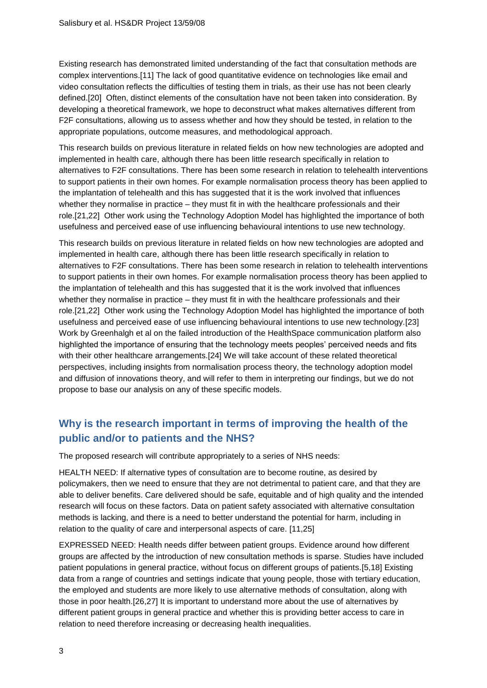Existing research has demonstrated limited understanding of the fact that consultation methods are complex interventions.[\[11\]](#page-20-8) The lack of good quantitative evidence on technologies like email and video consultation reflects the difficulties of testing them in trials, as their use has not been clearly defined.[\[20\]](#page-20-16) Often, distinct elements of the consultation have not been taken into consideration. By developing a theoretical framework, we hope to deconstruct what makes alternatives different from F2F consultations, allowing us to assess whether and how they should be tested, in relation to the appropriate populations, outcome measures, and methodological approach.

This research builds on previous literature in related fields on how new technologies are adopted and implemented in health care, although there has been little research specifically in relation to alternatives to F2F consultations. There has been some research in relation to telehealth interventions to support patients in their own homes. For example normalisation process theory has been applied to the implantation of telehealth and this has suggested that it is the work involved that influences whether they normalise in practice – they must fit in with the healthcare professionals and their role.[\[21,](#page-20-17)[22\]](#page-20-18) Other work using the Technology Adoption Model has highlighted the importance of both usefulness and perceived ease of use influencing behavioural intentions to use new technology.

This research builds on previous literature in related fields on how new technologies are adopted and implemented in health care, although there has been little research specifically in relation to alternatives to F2F consultations. There has been some research in relation to telehealth interventions to support patients in their own homes. For example normalisation process theory has been applied to the implantation of telehealth and this has suggested that it is the work involved that influences whether they normalise in practice – they must fit in with the healthcare professionals and their role.[\[21,](#page-20-17)[22\]](#page-20-18) Other work using the Technology Adoption Model has highlighted the importance of both usefulness and perceived ease of use influencing behavioural intentions to use new technology.[\[23\]](#page-20-19) Work by Greenhalgh et al on the failed introduction of the HealthSpace communication platform also highlighted the importance of ensuring that the technology meets peoples' perceived needs and fits with their other healthcare arrangements.[\[24\]](#page-20-20) We will take account of these related theoretical perspectives, including insights from normalisation process theory, the technology adoption model and diffusion of innovations theory, and will refer to them in interpreting our findings, but we do not propose to base our analysis on any of these specific models.

## **Why is the research important in terms of improving the health of the public and/or to patients and the NHS?**

The proposed research will contribute appropriately to a series of NHS needs:

HEALTH NEED: If alternative types of consultation are to become routine, as desired by policymakers, then we need to ensure that they are not detrimental to patient care, and that they are able to deliver benefits. Care delivered should be safe, equitable and of high quality and the intended research will focus on these factors. Data on patient safety associated with alternative consultation methods is lacking, and there is a need to better understand the potential for harm, including in relation to the quality of care and interpersonal aspects of care. [\[11](#page-20-8)[,25\]](#page-20-21)

EXPRESSED NEED: Health needs differ between patient groups. Evidence around how different groups are affected by the introduction of new consultation methods is sparse. Studies have included patient populations in general practice, without focus on different groups of patients.[\[5](#page-20-14)[,18\]](#page-20-22) Existing data from a range of countries and settings indicate that young people, those with tertiary education, the employed and students are more likely to use alternative methods of consultation, along with those in poor health.[\[26,](#page-21-0)[27\]](#page-21-1) It is important to understand more about the use of alternatives by different patient groups in general practice and whether this is providing better access to care in relation to need therefore increasing or decreasing health inequalities.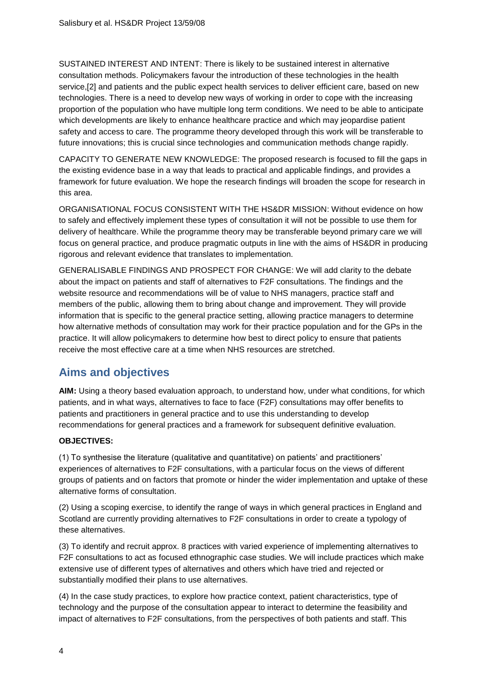SUSTAINED INTEREST AND INTENT: There is likely to be sustained interest in alternative consultation methods. Policymakers favour the introduction of these technologies in the health service,[\[2\]](#page-20-1) and patients and the public expect health services to deliver efficient care, based on new technologies. There is a need to develop new ways of working in order to cope with the increasing proportion of the population who have multiple long term conditions. We need to be able to anticipate which developments are likely to enhance healthcare practice and which may jeopardise patient safety and access to care. The programme theory developed through this work will be transferable to future innovations; this is crucial since technologies and communication methods change rapidly.

CAPACITY TO GENERATE NEW KNOWLEDGE: The proposed research is focused to fill the gaps in the existing evidence base in a way that leads to practical and applicable findings, and provides a framework for future evaluation. We hope the research findings will broaden the scope for research in this area.

ORGANISATIONAL FOCUS CONSISTENT WITH THE HS&DR MISSION: Without evidence on how to safely and effectively implement these types of consultation it will not be possible to use them for delivery of healthcare. While the programme theory may be transferable beyond primary care we will focus on general practice, and produce pragmatic outputs in line with the aims of HS&DR in producing rigorous and relevant evidence that translates to implementation.

GENERALISABLE FINDINGS AND PROSPECT FOR CHANGE: We will add clarity to the debate about the impact on patients and staff of alternatives to F2F consultations. The findings and the website resource and recommendations will be of value to NHS managers, practice staff and members of the public, allowing them to bring about change and improvement. They will provide information that is specific to the general practice setting, allowing practice managers to determine how alternative methods of consultation may work for their practice population and for the GPs in the practice. It will allow policymakers to determine how best to direct policy to ensure that patients receive the most effective care at a time when NHS resources are stretched.

# **Aims and objectives**

**AIM:** Using a theory based evaluation approach, to understand how, under what conditions, for which patients, and in what ways, alternatives to face to face (F2F) consultations may offer benefits to patients and practitioners in general practice and to use this understanding to develop recommendations for general practices and a framework for subsequent definitive evaluation.

### **OBJECTIVES:**

(1) To synthesise the literature (qualitative and quantitative) on patients' and practitioners' experiences of alternatives to F2F consultations, with a particular focus on the views of different groups of patients and on factors that promote or hinder the wider implementation and uptake of these alternative forms of consultation.

(2) Using a scoping exercise, to identify the range of ways in which general practices in England and Scotland are currently providing alternatives to F2F consultations in order to create a typology of these alternatives.

(3) To identify and recruit approx. 8 practices with varied experience of implementing alternatives to F2F consultations to act as focused ethnographic case studies. We will include practices which make extensive use of different types of alternatives and others which have tried and rejected or substantially modified their plans to use alternatives.

(4) In the case study practices, to explore how practice context, patient characteristics, type of technology and the purpose of the consultation appear to interact to determine the feasibility and impact of alternatives to F2F consultations, from the perspectives of both patients and staff. This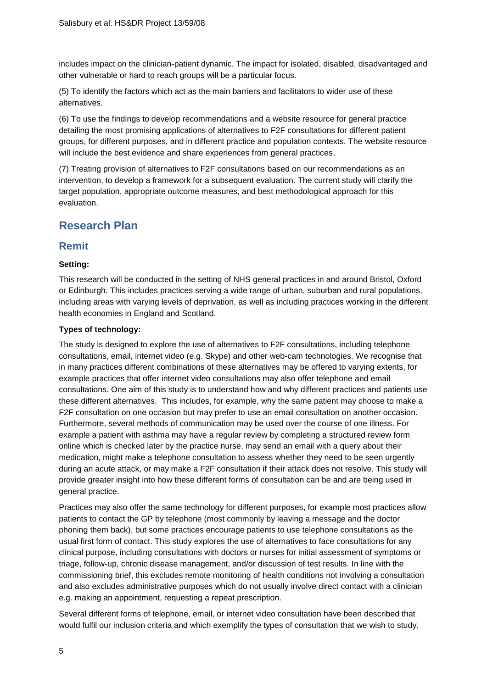includes impact on the clinician-patient dynamic. The impact for isolated, disabled, disadvantaged and other vulnerable or hard to reach groups will be a particular focus.

(5) To identify the factors which act as the main barriers and facilitators to wider use of these alternatives.

(6) To use the findings to develop recommendations and a website resource for general practice detailing the most promising applications of alternatives to F2F consultations for different patient groups, for different purposes, and in different practice and population contexts. The website resource will include the best evidence and share experiences from general practices.

(7) Treating provision of alternatives to F2F consultations based on our recommendations as an intervention, to develop a framework for a subsequent evaluation. The current study will clarify the target population, appropriate outcome measures, and best methodological approach for this evaluation.

## **Research Plan**

## **Remit**

### **Setting:**

This research will be conducted in the setting of NHS general practices in and around Bristol, Oxford or Edinburgh. This includes practices serving a wide range of urban, suburban and rural populations, including areas with varying levels of deprivation, as well as including practices working in the different health economies in England and Scotland.

### **Types of technology:**

The study is designed to explore the use of alternatives to F2F consultations, including telephone consultations, email, internet video (e.g. Skype) and other web-cam technologies. We recognise that in many practices different combinations of these alternatives may be offered to varying extents, for example practices that offer internet video consultations may also offer telephone and email consultations. One aim of this study is to understand how and why different practices and patients use these different alternatives. This includes, for example, why the same patient may choose to make a F2F consultation on one occasion but may prefer to use an email consultation on another occasion. Furthermore, several methods of communication may be used over the course of one illness. For example a patient with asthma may have a regular review by completing a structured review form online which is checked later by the practice nurse, may send an email with a query about their medication, might make a telephone consultation to assess whether they need to be seen urgently during an acute attack, or may make a F2F consultation if their attack does not resolve. This study will provide greater insight into how these different forms of consultation can be and are being used in general practice.

Practices may also offer the same technology for different purposes, for example most practices allow patients to contact the GP by telephone (most commonly by leaving a message and the doctor phoning them back), but some practices encourage patients to use telephone consultations as the usual first form of contact. This study explores the use of alternatives to face consultations for any clinical purpose, including consultations with doctors or nurses for initial assessment of symptoms or triage, follow-up, chronic disease management, and/or discussion of test results. In line with the commissioning brief, this excludes remote monitoring of health conditions not involving a consultation and also excludes administrative purposes which do not usually involve direct contact with a clinician e.g. making an appointment, requesting a repeat prescription.

Several different forms of telephone, email, or internet video consultation have been described that would fulfil our inclusion criteria and which exemplify the types of consultation that we wish to study.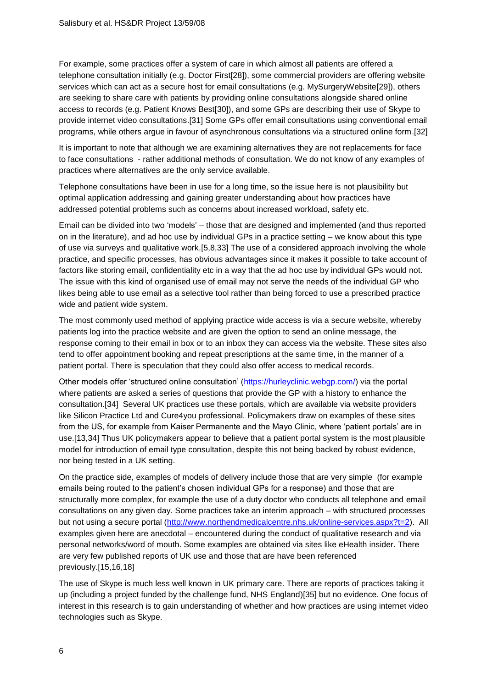For example, some practices offer a system of care in which almost all patients are offered a telephone consultation initially (e.g. Doctor First[\[28\]](#page-21-2)), some commercial providers are offering website services which can act as a secure host for email consultations (e.g. MySurgeryWebsite[\[29\]](#page-21-3)), others are seeking to share care with patients by providing online consultations alongside shared online access to records (e.g. Patient Knows Best[\[30\]](#page-21-4)), and some GPs are describing their use of Skype to provide internet video consultations.[\[31\]](#page-21-5) Some GPs offer email consultations using conventional email programs, while others argue in favour of asynchronous consultations via a structured online form.[\[32\]](#page-21-6)

It is important to note that although we are examining alternatives they are not replacements for face to face consultations - rather additional methods of consultation. We do not know of any examples of practices where alternatives are the only service available.

Telephone consultations have been in use for a long time, so the issue here is not plausibility but optimal application addressing and gaining greater understanding about how practices have addressed potential problems such as concerns about increased workload, safety etc.

Email can be divided into two 'models' – those that are designed and implemented (and thus reported on in the literature), and ad hoc use by individual GPs in a practice setting – we know about this type of use via surveys and qualitative work.[\[5,](#page-20-14)[8,](#page-20-5)[33\]](#page-21-7) The use of a considered approach involving the whole practice, and specific processes, has obvious advantages since it makes it possible to take account of factors like storing email, confidentiality etc in a way that the ad hoc use by individual GPs would not. The issue with this kind of organised use of email may not serve the needs of the individual GP who likes being able to use email as a selective tool rather than being forced to use a prescribed practice wide and patient wide system.

The most commonly used method of applying practice wide access is via a secure website, whereby patients log into the practice website and are given the option to send an online message, the response coming to their email in box or to an inbox they can access via the website. These sites also tend to offer appointment booking and repeat prescriptions at the same time, in the manner of a patient portal. There is speculation that they could also offer access to medical records.

Other models offer 'structured online consultation' [\(https://hurleyclinic.webgp.com/\)](https://hurleyclinic.webgp.com/) via the portal where patients are asked a series of questions that provide the GP with a history to enhance the consultation.[\[34\]](#page-21-8) Several UK practices use these portals, which are available via website providers like Silicon Practice Ltd and Cure4you professional. Policymakers draw on examples of these sites from the US, for example from Kaiser Permanente and the Mayo Clinic, where 'patient portals' are in use.[\[13](#page-20-10)[,34\]](#page-21-8) Thus UK policymakers appear to believe that a patient portal system is the most plausible model for introduction of email type consultation, despite this not being backed by robust evidence, nor being tested in a UK setting.

On the practice side, examples of models of delivery include those that are very simple (for example emails being routed to the patient's chosen individual GPs for a response) and those that are structurally more complex, for example the use of a duty doctor who conducts all telephone and email consultations on any given day. Some practices take an interim approach – with structured processes but not using a secure portal [\(http://www.northendmedicalcentre.nhs.uk/online-services.aspx?t=2\)](http://www.northendmedicalcentre.nhs.uk/online-services.aspx?t=2). All examples given here are anecdotal – encountered during the conduct of qualitative research and via personal networks/word of mouth. Some examples are obtained via sites like eHealth insider. There are very few published reports of UK use and those that are have been referenced previously.[\[15,](#page-20-12)[16,](#page-20-13)[18\]](#page-20-22)

The use of Skype is much less well known in UK primary care. There are reports of practices taking it up (including a project funded by the challenge fund, NHS England)[\[35\]](#page-21-9) but no evidence. One focus of interest in this research is to gain understanding of whether and how practices are using internet video technologies such as Skype.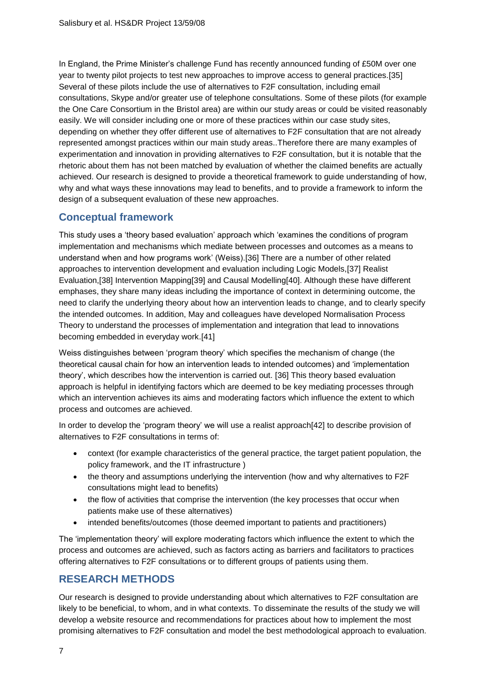In England, the Prime Minister's challenge Fund has recently announced funding of £50M over one year to twenty pilot projects to test new approaches to improve access to general practices.[\[35\]](#page-21-9) Several of these pilots include the use of alternatives to F2F consultation, including email consultations, Skype and/or greater use of telephone consultations. Some of these pilots (for example the One Care Consortium in the Bristol area) are within our study areas or could be visited reasonably easily. We will consider including one or more of these practices within our case study sites, depending on whether they offer different use of alternatives to F2F consultation that are not already represented amongst practices within our main study areas..Therefore there are many examples of experimentation and innovation in providing alternatives to F2F consultation, but it is notable that the rhetoric about them has not been matched by evaluation of whether the claimed benefits are actually achieved. Our research is designed to provide a theoretical framework to guide understanding of how, why and what ways these innovations may lead to benefits, and to provide a framework to inform the design of a subsequent evaluation of these new approaches.

## **Conceptual framework**

This study uses a 'theory based evaluation' approach which 'examines the conditions of program implementation and mechanisms which mediate between processes and outcomes as a means to understand when and how programs work' (Weiss).[\[36\]](#page-21-10) There are a number of other related approaches to intervention development and evaluation including Logic Models,[\[37\]](#page-21-11) Realist Evaluation,[\[38\]](#page-21-12) Intervention Mapping[\[39\]](#page-21-13) and Causal Modelling[\[40\]](#page-21-14). Although these have different emphases, they share many ideas including the importance of context in determining outcome, the need to clarify the underlying theory about how an intervention leads to change, and to clearly specify the intended outcomes. In addition, May and colleagues have developed Normalisation Process Theory to understand the processes of implementation and integration that lead to innovations becoming embedded in everyday work.[\[41\]](#page-21-15)

Weiss distinguishes between 'program theory' which specifies the mechanism of change (the theoretical causal chain for how an intervention leads to intended outcomes) and 'implementation theory', which describes how the intervention is carried out. [\[36\]](#page-21-10) This theory based evaluation approach is helpful in identifying factors which are deemed to be key mediating processes through which an intervention achieves its aims and moderating factors which influence the extent to which process and outcomes are achieved.

In order to develop the 'program theory' we will use a realist approach[\[42\]](#page-21-16) to describe provision of alternatives to F2F consultations in terms of:

- context (for example characteristics of the general practice, the target patient population, the policy framework, and the IT infrastructure )
- the theory and assumptions underlying the intervention (how and why alternatives to F2F consultations might lead to benefits)
- the flow of activities that comprise the intervention (the key processes that occur when patients make use of these alternatives)
- intended benefits/outcomes (those deemed important to patients and practitioners)

The 'implementation theory' will explore moderating factors which influence the extent to which the process and outcomes are achieved, such as factors acting as barriers and facilitators to practices offering alternatives to F2F consultations or to different groups of patients using them.

## **RESEARCH METHODS**

Our research is designed to provide understanding about which alternatives to F2F consultation are likely to be beneficial, to whom, and in what contexts. To disseminate the results of the study we will develop a website resource and recommendations for practices about how to implement the most promising alternatives to F2F consultation and model the best methodological approach to evaluation.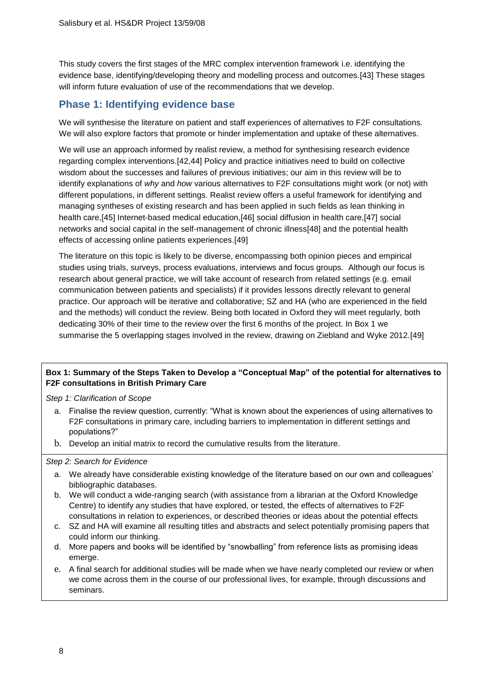This study covers the first stages of the MRC complex intervention framework i.e. identifying the evidence base, identifying/developing theory and modelling process and outcomes.[\[43\]](#page-21-17) These stages will inform future evaluation of use of the recommendations that we develop.

## **Phase 1: Identifying evidence base**

We will synthesise the literature on patient and staff experiences of alternatives to F2F consultations. We will also explore factors that promote or hinder implementation and uptake of these alternatives.

We will use an approach informed by realist review, a method for synthesising research evidence regarding complex interventions.[\[42,](#page-21-16)[44\]](#page-21-18) Policy and practice initiatives need to build on collective wisdom about the successes and failures of previous initiatives; our aim in this review will be to identify explanations of *why* and *how* various alternatives to F2F consultations might work (or not) with different populations, in different settings. Realist review offers a useful framework for identifying and managing syntheses of existing research and has been applied in such fields as lean thinking in health care,[\[45\]](#page-21-19) Internet-based medical education,[\[46\]](#page-21-20) social diffusion in health care,[\[47\]](#page-21-21) social networks and social capital in the self-management of chronic illness[\[48\]](#page-21-22) and the potential health effects of accessing online patients experiences.[\[49\]](#page-21-23)

The literature on this topic is likely to be diverse, encompassing both opinion pieces and empirical studies using trials, surveys, process evaluations, interviews and focus groups. Although our focus is research about general practice, we will take account of research from related settings (e.g. email communication between patients and specialists) if it provides lessons directly relevant to general practice. Our approach will be iterative and collaborative; SZ and HA (who are experienced in the field and the methods) will conduct the review. Being both located in Oxford they will meet regularly, both dedicating 30% of their time to the review over the first 6 months of the project. In Box 1 we summarise the 5 overlapping stages involved in the review, drawing on Ziebland and Wyke 2012.[\[49\]](#page-21-23)

### **Box 1: Summary of the Steps Taken to Develop a "Conceptual Map" of the potential for alternatives to F2F consultations in British Primary Care**

*Step 1: Clarification of Scope*

- a. Finalise the review question, currently: "What is known about the experiences of using alternatives to F2F consultations in primary care, including barriers to implementation in different settings and populations?"
- b. Develop an initial matrix to record the cumulative results from the literature.

*Step 2: Search for Evidence*

- a. We already have considerable existing knowledge of the literature based on our own and colleagues' bibliographic databases.
- b. We will conduct a wide-ranging search (with assistance from a librarian at the Oxford Knowledge Centre) to identify any studies that have explored, or tested, the effects of alternatives to F2F consultations in relation to experiences, or described theories or ideas about the potential effects
- c. SZ and HA will examine all resulting titles and abstracts and select potentially promising papers that could inform our thinking.
- d. More papers and books will be identified by "snowballing" from reference lists as promising ideas emerge.
- e. A final search for additional studies will be made when we have nearly completed our review or when we come across them in the course of our professional lives, for example, through discussions and seminars.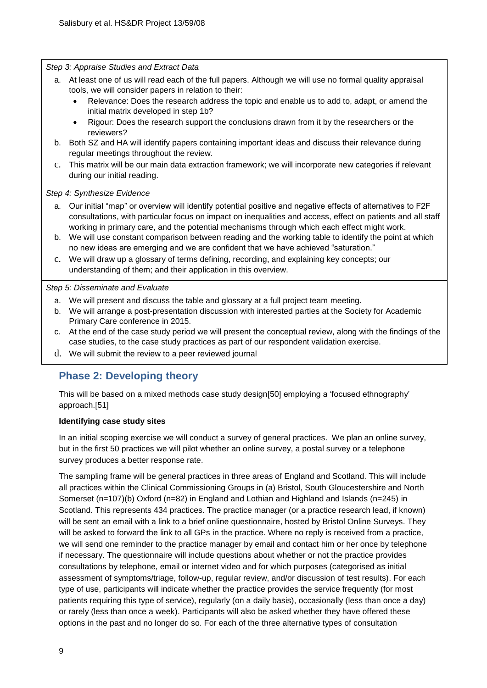*Step 3: Appraise Studies and Extract Data*

- a. At least one of us will read each of the full papers. Although we will use no formal quality appraisal tools, we will consider papers in relation to their:
	- Relevance: Does the research address the topic and enable us to add to, adapt, or amend the initial matrix developed in step 1b?
	- Rigour: Does the research support the conclusions drawn from it by the researchers or the reviewers?
- b. Both SZ and HA will identify papers containing important ideas and discuss their relevance during regular meetings throughout the review.
- c. This matrix will be our main data extraction framework; we will incorporate new categories if relevant during our initial reading.

*Step 4: Synthesize Evidence*

- a. Our initial "map" or overview will identify potential positive and negative effects of alternatives to F2F consultations, with particular focus on impact on inequalities and access, effect on patients and all staff working in primary care, and the potential mechanisms through which each effect might work.
- b. We will use constant comparison between reading and the working table to identify the point at which no new ideas are emerging and we are confident that we have achieved "saturation."
- c. We will draw up a glossary of terms defining, recording, and explaining key concepts; our understanding of them; and their application in this overview.

*Step 5: Disseminate and Evaluate*

- a. We will present and discuss the table and glossary at a full project team meeting.
- b. We will arrange a post-presentation discussion with interested parties at the Society for Academic Primary Care conference in 2015.
- c. At the end of the case study period we will present the conceptual review, along with the findings of the case studies, to the case study practices as part of our respondent validation exercise.
- d. We will submit the review to a peer reviewed journal

## **Phase 2: Developing theory**

This will be based on a mixed methods case study design[\[50\]](#page-21-24) employing a 'focused ethnography' approach.[\[51\]](#page-21-25)

### **Identifying case study sites**

In an initial scoping exercise we will conduct a survey of general practices. We plan an online survey, but in the first 50 practices we will pilot whether an online survey, a postal survey or a telephone survey produces a better response rate.

The sampling frame will be general practices in three areas of England and Scotland. This will include all practices within the Clinical Commissioning Groups in (a) Bristol, South Gloucestershire and North Somerset (n=107)(b) Oxford (n=82) in England and Lothian and Highland and Islands (n=245) in Scotland. This represents 434 practices. The practice manager (or a practice research lead, if known) will be sent an email with a link to a brief online questionnaire, hosted by Bristol Online Surveys. They will be asked to forward the link to all GPs in the practice. Where no reply is received from a practice, we will send one reminder to the practice manager by email and contact him or her once by telephone if necessary. The questionnaire will include questions about whether or not the practice provides consultations by telephone, email or internet video and for which purposes (categorised as initial assessment of symptoms/triage, follow-up, regular review, and/or discussion of test results). For each type of use, participants will indicate whether the practice provides the service frequently (for most patients requiring this type of service), regularly (on a daily basis), occasionally (less than once a day) or rarely (less than once a week). Participants will also be asked whether they have offered these options in the past and no longer do so. For each of the three alternative types of consultation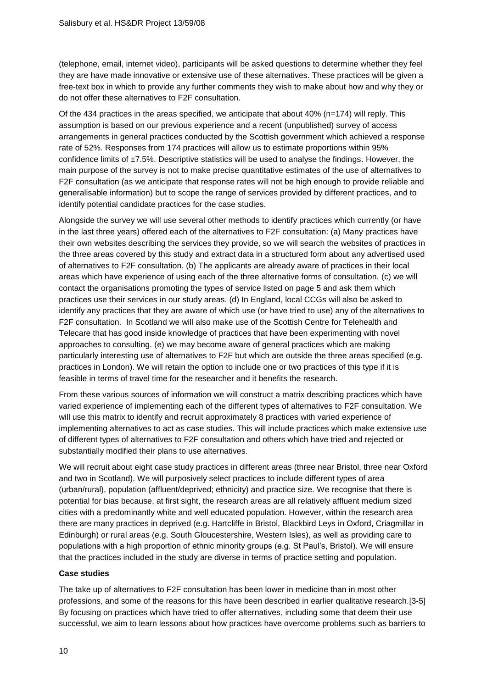(telephone, email, internet video), participants will be asked questions to determine whether they feel they are have made innovative or extensive use of these alternatives. These practices will be given a free-text box in which to provide any further comments they wish to make about how and why they or do not offer these alternatives to F2F consultation.

Of the 434 practices in the areas specified, we anticipate that about 40% (n=174) will reply. This assumption is based on our previous experience and a recent (unpublished) survey of access arrangements in general practices conducted by the Scottish government which achieved a response rate of 52%. Responses from 174 practices will allow us to estimate proportions within 95% confidence limits of ±7.5%. Descriptive statistics will be used to analyse the findings. However, the main purpose of the survey is not to make precise quantitative estimates of the use of alternatives to F2F consultation (as we anticipate that response rates will not be high enough to provide reliable and generalisable information) but to scope the range of services provided by different practices, and to identify potential candidate practices for the case studies.

Alongside the survey we will use several other methods to identify practices which currently (or have in the last three years) offered each of the alternatives to F2F consultation: (a) Many practices have their own websites describing the services they provide, so we will search the websites of practices in the three areas covered by this study and extract data in a structured form about any advertised used of alternatives to F2F consultation. (b) The applicants are already aware of practices in their local areas which have experience of using each of the three alternative forms of consultation. (c) we will contact the organisations promoting the types of service listed on page 5 and ask them which practices use their services in our study areas. (d) In England, local CCGs will also be asked to identify any practices that they are aware of which use (or have tried to use) any of the alternatives to F2F consultation. In Scotland we will also make use of the Scottish Centre for Telehealth and Telecare that has good inside knowledge of practices that have been experimenting with novel approaches to consulting. (e) we may become aware of general practices which are making particularly interesting use of alternatives to F2F but which are outside the three areas specified (e.g. practices in London). We will retain the option to include one or two practices of this type if it is feasible in terms of travel time for the researcher and it benefits the research.

From these various sources of information we will construct a matrix describing practices which have varied experience of implementing each of the different types of alternatives to F2F consultation. We will use this matrix to identify and recruit approximately 8 practices with varied experience of implementing alternatives to act as case studies. This will include practices which make extensive use of different types of alternatives to F2F consultation and others which have tried and rejected or substantially modified their plans to use alternatives.

We will recruit about eight case study practices in different areas (three near Bristol, three near Oxford and two in Scotland). We will purposively select practices to include different types of area (urban/rural), population (affluent/deprived; ethnicity) and practice size. We recognise that there is potential for bias because, at first sight, the research areas are all relatively affluent medium sized cities with a predominantly white and well educated population. However, within the research area there are many practices in deprived (e.g. Hartcliffe in Bristol, Blackbird Leys in Oxford, Criagmillar in Edinburgh) or rural areas (e.g. South Gloucestershire, Western Isles), as well as providing care to populations with a high proportion of ethnic minority groups (e.g. St Paul's, Bristol). We will ensure that the practices included in the study are diverse in terms of practice setting and population.

#### **Case studies**

The take up of alternatives to F2F consultation has been lower in medicine than in most other professions, and some of the reasons for this have been described in earlier qualitative research.[\[3-5\]](#page-20-2) By focusing on practices which have tried to offer alternatives, including some that deem their use successful, we aim to learn lessons about how practices have overcome problems such as barriers to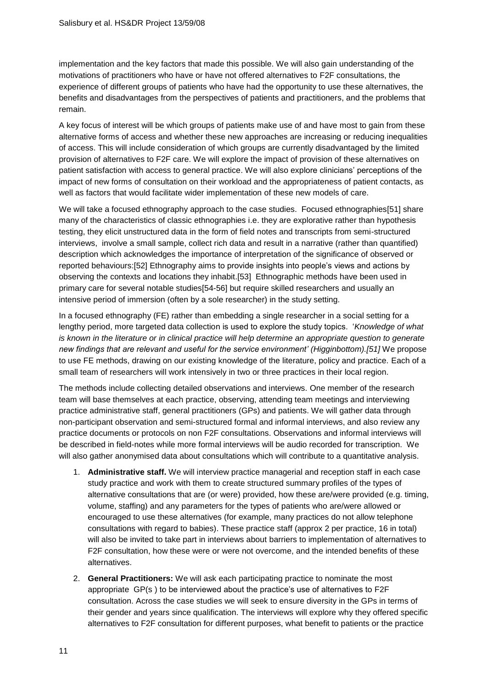implementation and the key factors that made this possible. We will also gain understanding of the motivations of practitioners who have or have not offered alternatives to F2F consultations, the experience of different groups of patients who have had the opportunity to use these alternatives, the benefits and disadvantages from the perspectives of patients and practitioners, and the problems that remain.

A key focus of interest will be which groups of patients make use of and have most to gain from these alternative forms of access and whether these new approaches are increasing or reducing inequalities of access. This will include consideration of which groups are currently disadvantaged by the limited provision of alternatives to F2F care. We will explore the impact of provision of these alternatives on patient satisfaction with access to general practice. We will also explore clinicians' perceptions of the impact of new forms of consultation on their workload and the appropriateness of patient contacts, as well as factors that would facilitate wider implementation of these new models of care.

We will take a focused ethnography approach to the case studies. Focused ethnographies[\[51\]](#page-21-25) share many of the characteristics of classic ethnographies i.e. they are explorative rather than hypothesis testing, they elicit unstructured data in the form of field notes and transcripts from semi-structured interviews, involve a small sample, collect rich data and result in a narrative (rather than quantified) description which acknowledges the importance of interpretation of the significance of observed or reported behaviours:[\[52\]](#page-21-26) Ethnography aims to provide insights into people's views and actions by observing the contexts and locations they inhabit.[\[53\]](#page-21-27) Ethnographic methods have been used in primary care for several notable studies[\[54-56\]](#page-21-28) but require skilled researchers and usually an intensive period of immersion (often by a sole researcher) in the study setting.

In a focused ethnography (FE) rather than embedding a single researcher in a social setting for a lengthy period, more targeted data collection is used to explore the study topics. '*Knowledge of what is known in the literature or in clinical practice will help determine an appropriate question to generate new findings that are relevant and useful for the service environment' (Higginbottom).[\[51\]](#page-21-25)* We propose to use FE methods, drawing on our existing knowledge of the literature, policy and practice. Each of a small team of researchers will work intensively in two or three practices in their local region.

The methods include collecting detailed observations and interviews. One member of the research team will base themselves at each practice, observing, attending team meetings and interviewing practice administrative staff, general practitioners (GPs) and patients. We will gather data through non-participant observation and semi-structured formal and informal interviews, and also review any practice documents or protocols on non F2F consultations. Observations and informal interviews will be described in field-notes while more formal interviews will be audio recorded for transcription. We will also gather anonymised data about consultations which will contribute to a quantitative analysis.

- 1. **Administrative staff.** We will interview practice managerial and reception staff in each case study practice and work with them to create structured summary profiles of the types of alternative consultations that are (or were) provided, how these are/were provided (e.g. timing, volume, staffing) and any parameters for the types of patients who are/were allowed or encouraged to use these alternatives (for example, many practices do not allow telephone consultations with regard to babies). These practice staff (approx 2 per practice, 16 in total) will also be invited to take part in interviews about barriers to implementation of alternatives to F2F consultation, how these were or were not overcome, and the intended benefits of these alternatives.
- 2. **General Practitioners:** We will ask each participating practice to nominate the most appropriate GP(s ) to be interviewed about the practice's use of alternatives to F2F consultation. Across the case studies we will seek to ensure diversity in the GPs in terms of their gender and years since qualification. The interviews will explore why they offered specific alternatives to F2F consultation for different purposes, what benefit to patients or the practice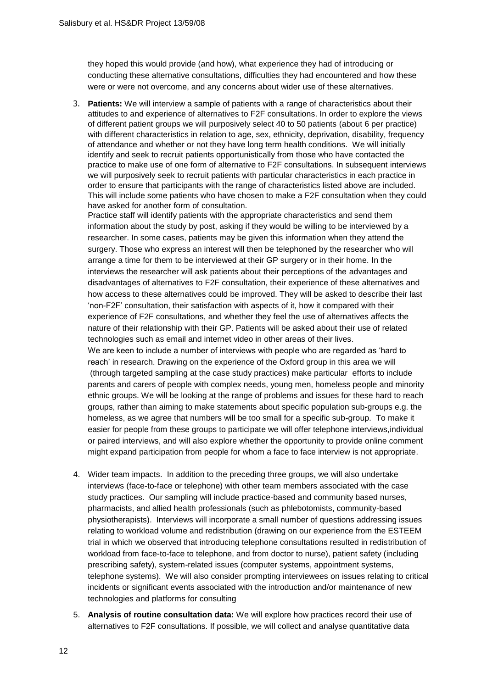they hoped this would provide (and how), what experience they had of introducing or conducting these alternative consultations, difficulties they had encountered and how these were or were not overcome, and any concerns about wider use of these alternatives.

3. **Patients:** We will interview a sample of patients with a range of characteristics about their attitudes to and experience of alternatives to F2F consultations. In order to explore the views of different patient groups we will purposively select 40 to 50 patients (about 6 per practice) with different characteristics in relation to age, sex, ethnicity, deprivation, disability, frequency of attendance and whether or not they have long term health conditions. We will initially identify and seek to recruit patients opportunistically from those who have contacted the practice to make use of one form of alternative to F2F consultations. In subsequent interviews we will purposively seek to recruit patients with particular characteristics in each practice in order to ensure that participants with the range of characteristics listed above are included. This will include some patients who have chosen to make a F2F consultation when they could have asked for another form of consultation.

Practice staff will identify patients with the appropriate characteristics and send them information about the study by post, asking if they would be willing to be interviewed by a researcher. In some cases, patients may be given this information when they attend the surgery. Those who express an interest will then be telephoned by the researcher who will arrange a time for them to be interviewed at their GP surgery or in their home. In the interviews the researcher will ask patients about their perceptions of the advantages and disadvantages of alternatives to F2F consultation, their experience of these alternatives and how access to these alternatives could be improved. They will be asked to describe their last 'non-F2F' consultation, their satisfaction with aspects of it, how it compared with their experience of F2F consultations, and whether they feel the use of alternatives affects the nature of their relationship with their GP. Patients will be asked about their use of related technologies such as email and internet video in other areas of their lives.

We are keen to include a number of interviews with people who are regarded as 'hard to reach' in research. Drawing on the experience of the Oxford group in this area we will (through targeted sampling at the case study practices) make particular efforts to include parents and carers of people with complex needs, young men, homeless people and minority ethnic groups. We will be looking at the range of problems and issues for these hard to reach groups, rather than aiming to make statements about specific population sub-groups e.g. the homeless, as we agree that numbers will be too small for a specific sub-group. To make it easier for people from these groups to participate we will offer telephone interviews,individual or paired interviews, and will also explore whether the opportunity to provide online comment might expand participation from people for whom a face to face interview is not appropriate.

- 4. Wider team impacts. In addition to the preceding three groups, we will also undertake interviews (face-to-face or telephone) with other team members associated with the case study practices. Our sampling will include practice-based and community based nurses, pharmacists, and allied health professionals (such as phlebotomists, community-based physiotherapists). Interviews will incorporate a small number of questions addressing issues relating to workload volume and redistribution (drawing on our experience from the ESTEEM trial in which we observed that introducing telephone consultations resulted in redistribution of workload from face-to-face to telephone, and from doctor to nurse), patient safety (including prescribing safety), system-related issues (computer systems, appointment systems, telephone systems). We will also consider prompting interviewees on issues relating to critical incidents or significant events associated with the introduction and/or maintenance of new technologies and platforms for consulting
- 5. **Analysis of routine consultation data:** We will explore how practices record their use of alternatives to F2F consultations. If possible, we will collect and analyse quantitative data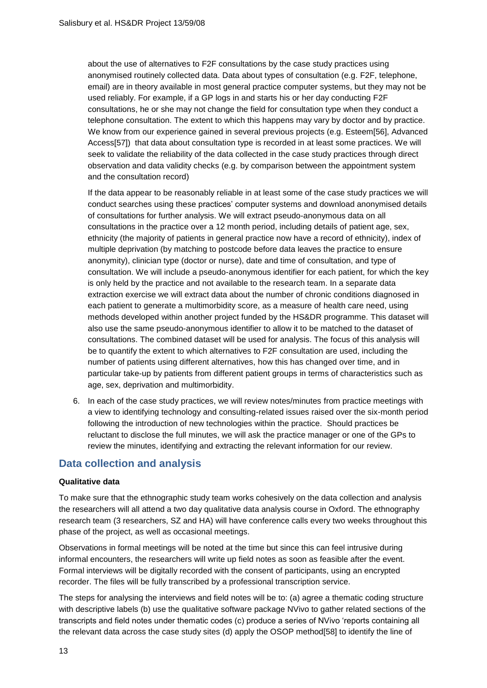about the use of alternatives to F2F consultations by the case study practices using anonymised routinely collected data. Data about types of consultation (e.g. F2F, telephone, email) are in theory available in most general practice computer systems, but they may not be used reliably. For example, if a GP logs in and starts his or her day conducting F2F consultations, he or she may not change the field for consultation type when they conduct a telephone consultation. The extent to which this happens may vary by doctor and by practice. We know from our experience gained in several previous projects (e.g. Esteem[\[56\]](#page-21-29), Advanced Access[\[57\]](#page-21-30)) that data about consultation type is recorded in at least some practices. We will seek to validate the reliability of the data collected in the case study practices through direct observation and data validity checks (e.g. by comparison between the appointment system and the consultation record)

If the data appear to be reasonably reliable in at least some of the case study practices we will conduct searches using these practices' computer systems and download anonymised details of consultations for further analysis. We will extract pseudo-anonymous data on all consultations in the practice over a 12 month period, including details of patient age, sex, ethnicity (the majority of patients in general practice now have a record of ethnicity), index of multiple deprivation (by matching to postcode before data leaves the practice to ensure anonymity), clinician type (doctor or nurse), date and time of consultation, and type of consultation. We will include a pseudo-anonymous identifier for each patient, for which the key is only held by the practice and not available to the research team. In a separate data extraction exercise we will extract data about the number of chronic conditions diagnosed in each patient to generate a multimorbidity score, as a measure of health care need, using methods developed within another project funded by the HS&DR programme. This dataset will also use the same pseudo-anonymous identifier to allow it to be matched to the dataset of consultations. The combined dataset will be used for analysis. The focus of this analysis will be to quantify the extent to which alternatives to F2F consultation are used, including the number of patients using different alternatives, how this has changed over time, and in particular take-up by patients from different patient groups in terms of characteristics such as age, sex, deprivation and multimorbidity.

6. In each of the case study practices, we will review notes/minutes from practice meetings with a view to identifying technology and consulting-related issues raised over the six-month period following the introduction of new technologies within the practice. Should practices be reluctant to disclose the full minutes, we will ask the practice manager or one of the GPs to review the minutes, identifying and extracting the relevant information for our review.

## **Data collection and analysis**

#### **Qualitative data**

To make sure that the ethnographic study team works cohesively on the data collection and analysis the researchers will all attend a two day qualitative data analysis course in Oxford. The ethnography research team (3 researchers, SZ and HA) will have conference calls every two weeks throughout this phase of the project, as well as occasional meetings.

Observations in formal meetings will be noted at the time but since this can feel intrusive during informal encounters, the researchers will write up field notes as soon as feasible after the event. Formal interviews will be digitally recorded with the consent of participants, using an encrypted recorder. The files will be fully transcribed by a professional transcription service.

The steps for analysing the interviews and field notes will be to: (a) agree a thematic coding structure with descriptive labels (b) use the qualitative software package NVivo to gather related sections of the transcripts and field notes under thematic codes (c) produce a series of NVivo 'reports containing all the relevant data across the case study sites (d) apply the OSOP method[\[58\]](#page-22-0) to identify the line of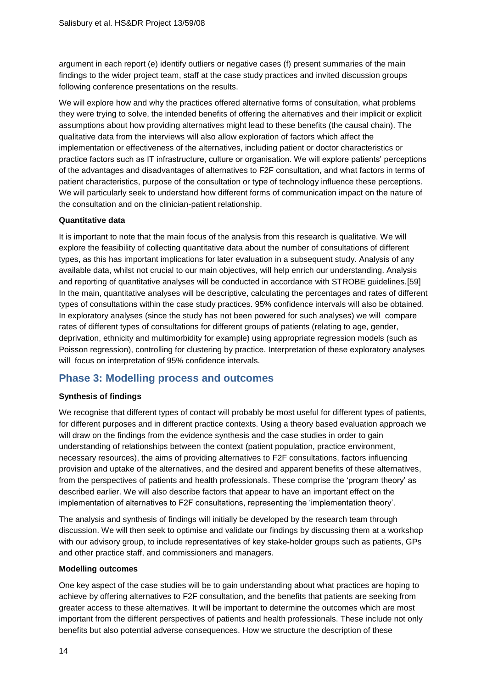argument in each report (e) identify outliers or negative cases (f) present summaries of the main findings to the wider project team, staff at the case study practices and invited discussion groups following conference presentations on the results.

We will explore how and why the practices offered alternative forms of consultation, what problems they were trying to solve, the intended benefits of offering the alternatives and their implicit or explicit assumptions about how providing alternatives might lead to these benefits (the causal chain). The qualitative data from the interviews will also allow exploration of factors which affect the implementation or effectiveness of the alternatives, including patient or doctor characteristics or practice factors such as IT infrastructure, culture or organisation. We will explore patients' perceptions of the advantages and disadvantages of alternatives to F2F consultation, and what factors in terms of patient characteristics, purpose of the consultation or type of technology influence these perceptions. We will particularly seek to understand how different forms of communication impact on the nature of the consultation and on the clinician-patient relationship.

#### **Quantitative data**

It is important to note that the main focus of the analysis from this research is qualitative. We will explore the feasibility of collecting quantitative data about the number of consultations of different types, as this has important implications for later evaluation in a subsequent study. Analysis of any available data, whilst not crucial to our main objectives, will help enrich our understanding. Analysis and reporting of quantitative analyses will be conducted in accordance with STROBE guidelines.[\[59\]](#page-22-1) In the main, quantitative analyses will be descriptive, calculating the percentages and rates of different types of consultations within the case study practices. 95% confidence intervals will also be obtained. In exploratory analyses (since the study has not been powered for such analyses) we will compare rates of different types of consultations for different groups of patients (relating to age, gender, deprivation, ethnicity and multimorbidity for example) using appropriate regression models (such as Poisson regression), controlling for clustering by practice. Interpretation of these exploratory analyses will focus on interpretation of 95% confidence intervals.

### **Phase 3: Modelling process and outcomes**

#### **Synthesis of findings**

We recognise that different types of contact will probably be most useful for different types of patients, for different purposes and in different practice contexts. Using a theory based evaluation approach we will draw on the findings from the evidence synthesis and the case studies in order to gain understanding of relationships between the context (patient population, practice environment, necessary resources), the aims of providing alternatives to F2F consultations, factors influencing provision and uptake of the alternatives, and the desired and apparent benefits of these alternatives, from the perspectives of patients and health professionals. These comprise the 'program theory' as described earlier. We will also describe factors that appear to have an important effect on the implementation of alternatives to F2F consultations, representing the 'implementation theory'.

The analysis and synthesis of findings will initially be developed by the research team through discussion. We will then seek to optimise and validate our findings by discussing them at a workshop with our advisory group, to include representatives of key stake-holder groups such as patients, GPs and other practice staff, and commissioners and managers.

#### **Modelling outcomes**

One key aspect of the case studies will be to gain understanding about what practices are hoping to achieve by offering alternatives to F2F consultation, and the benefits that patients are seeking from greater access to these alternatives. It will be important to determine the outcomes which are most important from the different perspectives of patients and health professionals. These include not only benefits but also potential adverse consequences. How we structure the description of these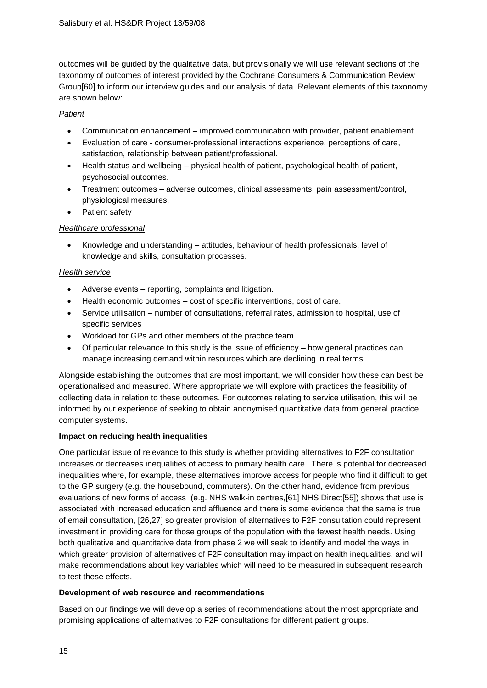outcomes will be guided by the qualitative data, but provisionally we will use relevant sections of the taxonomy of outcomes of interest provided by the Cochrane Consumers & Communication Review Group[\[60\]](#page-22-2) to inform our interview guides and our analysis of data. Relevant elements of this taxonomy are shown below:

### *Patient*

- Communication enhancement improved communication with provider, patient enablement.
- Evaluation of care consumer-professional interactions experience, perceptions of care, satisfaction, relationship between patient/professional.
- Health status and wellbeing physical health of patient, psychological health of patient, psychosocial outcomes.
- Treatment outcomes adverse outcomes, clinical assessments, pain assessment/control, physiological measures.
- Patient safety

### *Healthcare professional*

 Knowledge and understanding – attitudes, behaviour of health professionals, level of knowledge and skills, consultation processes.

### *Health service*

- Adverse events reporting, complaints and litigation.
- Health economic outcomes cost of specific interventions, cost of care.
- Service utilisation number of consultations, referral rates, admission to hospital, use of specific services
- Workload for GPs and other members of the practice team
- Of particular relevance to this study is the issue of efficiency how general practices can manage increasing demand within resources which are declining in real terms

Alongside establishing the outcomes that are most important, we will consider how these can best be operationalised and measured. Where appropriate we will explore with practices the feasibility of collecting data in relation to these outcomes. For outcomes relating to service utilisation, this will be informed by our experience of seeking to obtain anonymised quantitative data from general practice computer systems.

### **Impact on reducing health inequalities**

One particular issue of relevance to this study is whether providing alternatives to F2F consultation increases or decreases inequalities of access to primary health care. There is potential for decreased inequalities where, for example, these alternatives improve access for people who find it difficult to get to the GP surgery (e.g. the housebound, commuters). On the other hand, evidence from previous evaluations of new forms of access (e.g. NHS walk-in centres,[\[61\]](#page-22-3) NHS Direct[\[55\]](#page-21-31)) shows that use is associated with increased education and affluence and there is some evidence that the same is true of email consultation, [\[26,](#page-21-0)[27\]](#page-21-1) so greater provision of alternatives to F2F consultation could represent investment in providing care for those groups of the population with the fewest health needs. Using both qualitative and quantitative data from phase 2 we will seek to identify and model the ways in which greater provision of alternatives of F2F consultation may impact on health inequalities, and will make recommendations about key variables which will need to be measured in subsequent research to test these effects.

### **Development of web resource and recommendations**

Based on our findings we will develop a series of recommendations about the most appropriate and promising applications of alternatives to F2F consultations for different patient groups.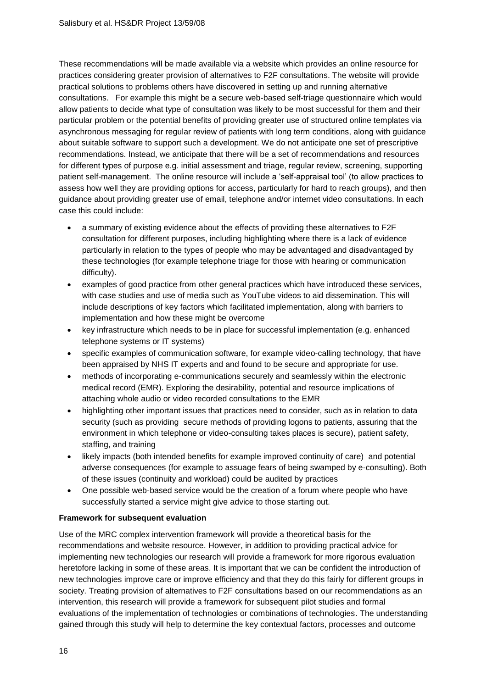These recommendations will be made available via a website which provides an online resource for practices considering greater provision of alternatives to F2F consultations. The website will provide practical solutions to problems others have discovered in setting up and running alternative consultations. For example this might be a secure web-based self-triage questionnaire which would allow patients to decide what type of consultation was likely to be most successful for them and their particular problem or the potential benefits of providing greater use of structured online templates via asynchronous messaging for regular review of patients with long term conditions, along with guidance about suitable software to support such a development. We do not anticipate one set of prescriptive recommendations. Instead, we anticipate that there will be a set of recommendations and resources for different types of purpose e.g. initial assessment and triage, regular review, screening, supporting patient self-management. The online resource will include a 'self-appraisal tool' (to allow practices to assess how well they are providing options for access, particularly for hard to reach groups), and then guidance about providing greater use of email, telephone and/or internet video consultations. In each case this could include:

- a summary of existing evidence about the effects of providing these alternatives to F2F consultation for different purposes, including highlighting where there is a lack of evidence particularly in relation to the types of people who may be advantaged and disadvantaged by these technologies (for example telephone triage for those with hearing or communication difficulty).
- examples of good practice from other general practices which have introduced these services, with case studies and use of media such as YouTube videos to aid dissemination. This will include descriptions of key factors which facilitated implementation, along with barriers to implementation and how these might be overcome
- key infrastructure which needs to be in place for successful implementation (e.g. enhanced telephone systems or IT systems)
- specific examples of communication software, for example video-calling technology, that have been appraised by NHS IT experts and and found to be secure and appropriate for use.
- methods of incorporating e-communications securely and seamlessly within the electronic medical record (EMR). Exploring the desirability, potential and resource implications of attaching whole audio or video recorded consultations to the EMR
- highlighting other important issues that practices need to consider, such as in relation to data security (such as providing secure methods of providing logons to patients, assuring that the environment in which telephone or video-consulting takes places is secure), patient safety, staffing, and training
- likely impacts (both intended benefits for example improved continuity of care) and potential adverse consequences (for example to assuage fears of being swamped by e-consulting). Both of these issues (continuity and workload) could be audited by practices
- One possible web-based service would be the creation of a forum where people who have successfully started a service might give advice to those starting out.

### **Framework for subsequent evaluation**

Use of the MRC complex intervention framework will provide a theoretical basis for the recommendations and website resource. However, in addition to providing practical advice for implementing new technologies our research will provide a framework for more rigorous evaluation heretofore lacking in some of these areas. It is important that we can be confident the introduction of new technologies improve care or improve efficiency and that they do this fairly for different groups in society. Treating provision of alternatives to F2F consultations based on our recommendations as an intervention, this research will provide a framework for subsequent pilot studies and formal evaluations of the implementation of technologies or combinations of technologies. The understanding gained through this study will help to determine the key contextual factors, processes and outcome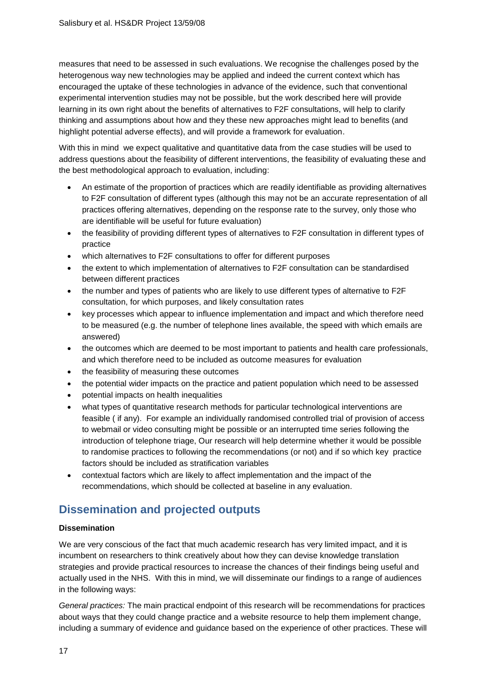measures that need to be assessed in such evaluations. We recognise the challenges posed by the heterogenous way new technologies may be applied and indeed the current context which has encouraged the uptake of these technologies in advance of the evidence, such that conventional experimental intervention studies may not be possible, but the work described here will provide learning in its own right about the benefits of alternatives to F2F consultations, will help to clarify thinking and assumptions about how and they these new approaches might lead to benefits (and highlight potential adverse effects), and will provide a framework for evaluation.

With this in mind we expect qualitative and quantitative data from the case studies will be used to address questions about the feasibility of different interventions, the feasibility of evaluating these and the best methodological approach to evaluation, including:

- An estimate of the proportion of practices which are readily identifiable as providing alternatives to F2F consultation of different types (although this may not be an accurate representation of all practices offering alternatives, depending on the response rate to the survey, only those who are identifiable will be useful for future evaluation)
- the feasibility of providing different types of alternatives to F2F consultation in different types of practice
- which alternatives to F2F consultations to offer for different purposes
- the extent to which implementation of alternatives to F2F consultation can be standardised between different practices
- the number and types of patients who are likely to use different types of alternative to F2F consultation, for which purposes, and likely consultation rates
- key processes which appear to influence implementation and impact and which therefore need to be measured (e.g. the number of telephone lines available, the speed with which emails are answered)
- the outcomes which are deemed to be most important to patients and health care professionals, and which therefore need to be included as outcome measures for evaluation
- the feasibility of measuring these outcomes
- the potential wider impacts on the practice and patient population which need to be assessed
- potential impacts on health inequalities
- what types of quantitative research methods for particular technological interventions are feasible ( if any). For example an individually randomised controlled trial of provision of access to webmail or video consulting might be possible or an interrupted time series following the introduction of telephone triage, Our research will help determine whether it would be possible to randomise practices to following the recommendations (or not) and if so which key practice factors should be included as stratification variables
- contextual factors which are likely to affect implementation and the impact of the recommendations, which should be collected at baseline in any evaluation.

# **Dissemination and projected outputs**

### **Dissemination**

We are very conscious of the fact that much academic research has very limited impact, and it is incumbent on researchers to think creatively about how they can devise knowledge translation strategies and provide practical resources to increase the chances of their findings being useful and actually used in the NHS. With this in mind, we will disseminate our findings to a range of audiences in the following ways:

*General practices:* The main practical endpoint of this research will be recommendations for practices about ways that they could change practice and a website resource to help them implement change, including a summary of evidence and guidance based on the experience of other practices. These will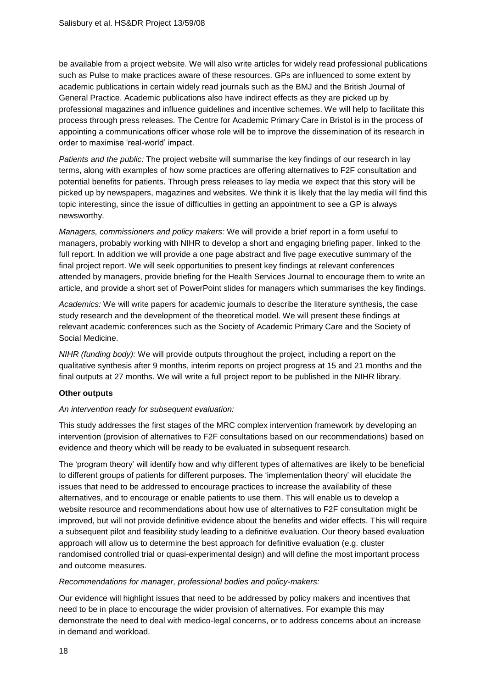be available from a project website. We will also write articles for widely read professional publications such as Pulse to make practices aware of these resources. GPs are influenced to some extent by academic publications in certain widely read journals such as the BMJ and the British Journal of General Practice. Academic publications also have indirect effects as they are picked up by professional magazines and influence guidelines and incentive schemes. We will help to facilitate this process through press releases. The Centre for Academic Primary Care in Bristol is in the process of appointing a communications officer whose role will be to improve the dissemination of its research in order to maximise 'real-world' impact.

*Patients and the public:* The project website will summarise the key findings of our research in lay terms, along with examples of how some practices are offering alternatives to F2F consultation and potential benefits for patients. Through press releases to lay media we expect that this story will be picked up by newspapers, magazines and websites. We think it is likely that the lay media will find this topic interesting, since the issue of difficulties in getting an appointment to see a GP is always newsworthy.

*Managers, commissioners and policy makers:* We will provide a brief report in a form useful to managers, probably working with NIHR to develop a short and engaging briefing paper, linked to the full report. In addition we will provide a one page abstract and five page executive summary of the final project report. We will seek opportunities to present key findings at relevant conferences attended by managers, provide briefing for the Health Services Journal to encourage them to write an article, and provide a short set of PowerPoint slides for managers which summarises the key findings.

*Academics:* We will write papers for academic journals to describe the literature synthesis, the case study research and the development of the theoretical model. We will present these findings at relevant academic conferences such as the Society of Academic Primary Care and the Society of Social Medicine.

*NIHR (funding body):* We will provide outputs throughout the project, including a report on the qualitative synthesis after 9 months, interim reports on project progress at 15 and 21 months and the final outputs at 27 months. We will write a full project report to be published in the NIHR library.

#### **Other outputs**

#### *An intervention ready for subsequent evaluation:*

This study addresses the first stages of the MRC complex intervention framework by developing an intervention (provision of alternatives to F2F consultations based on our recommendations) based on evidence and theory which will be ready to be evaluated in subsequent research.

The 'program theory' will identify how and why different types of alternatives are likely to be beneficial to different groups of patients for different purposes. The 'implementation theory' will elucidate the issues that need to be addressed to encourage practices to increase the availability of these alternatives, and to encourage or enable patients to use them. This will enable us to develop a website resource and recommendations about how use of alternatives to F2F consultation might be improved, but will not provide definitive evidence about the benefits and wider effects. This will require a subsequent pilot and feasibility study leading to a definitive evaluation. Our theory based evaluation approach will allow us to determine the best approach for definitive evaluation (e.g. cluster randomised controlled trial or quasi-experimental design) and will define the most important process and outcome measures.

#### *Recommendations for manager, professional bodies and policy-makers:*

Our evidence will highlight issues that need to be addressed by policy makers and incentives that need to be in place to encourage the wider provision of alternatives. For example this may demonstrate the need to deal with medico-legal concerns, or to address concerns about an increase in demand and workload.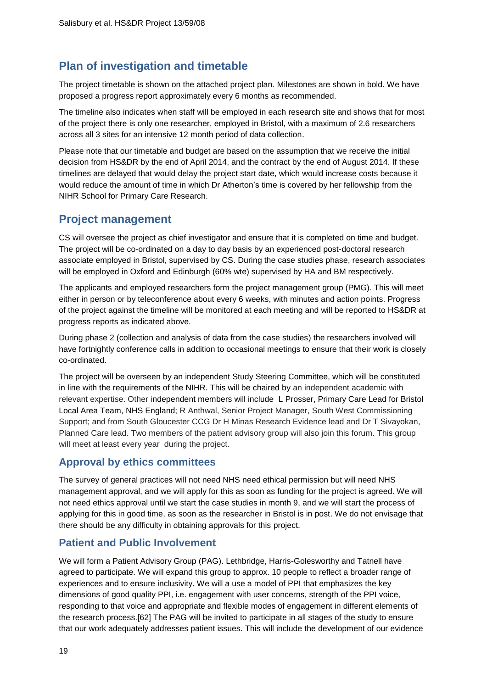# **Plan of investigation and timetable**

The project timetable is shown on the attached project plan. Milestones are shown in bold. We have proposed a progress report approximately every 6 months as recommended.

The timeline also indicates when staff will be employed in each research site and shows that for most of the project there is only one researcher, employed in Bristol, with a maximum of 2.6 researchers across all 3 sites for an intensive 12 month period of data collection.

Please note that our timetable and budget are based on the assumption that we receive the initial decision from HS&DR by the end of April 2014, and the contract by the end of August 2014. If these timelines are delayed that would delay the project start date, which would increase costs because it would reduce the amount of time in which Dr Atherton's time is covered by her fellowship from the NIHR School for Primary Care Research.

## **Project management**

CS will oversee the project as chief investigator and ensure that it is completed on time and budget. The project will be co-ordinated on a day to day basis by an experienced post-doctoral research associate employed in Bristol, supervised by CS. During the case studies phase, research associates will be employed in Oxford and Edinburgh (60% wte) supervised by HA and BM respectively.

The applicants and employed researchers form the project management group (PMG). This will meet either in person or by teleconference about every 6 weeks, with minutes and action points. Progress of the project against the timeline will be monitored at each meeting and will be reported to HS&DR at progress reports as indicated above.

During phase 2 (collection and analysis of data from the case studies) the researchers involved will have fortnightly conference calls in addition to occasional meetings to ensure that their work is closely co-ordinated.

The project will be overseen by an independent Study Steering Committee, which will be constituted in line with the requirements of the NIHR. This will be chaired by an independent academic with relevant expertise. Other independent members will include L Prosser, Primary Care Lead for Bristol Local Area Team, NHS England; R Anthwal, Senior Project Manager, South West Commissioning Support; and from South Gloucester CCG Dr H Minas Research Evidence lead and Dr T Sivayokan, Planned Care lead. Two members of the patient advisory group will also join this forum. This group will meet at least every year during the project.

## **Approval by ethics committees**

The survey of general practices will not need NHS need ethical permission but will need NHS management approval, and we will apply for this as soon as funding for the project is agreed. We will not need ethics approval until we start the case studies in month 9, and we will start the process of applying for this in good time, as soon as the researcher in Bristol is in post. We do not envisage that there should be any difficulty in obtaining approvals for this project.

## **Patient and Public Involvement**

We will form a Patient Advisory Group (PAG). Lethbridge, Harris-Golesworthy and Tatnell have agreed to participate. We will expand this group to approx. 10 people to reflect a broader range of experiences and to ensure inclusivity. We will a use a model of PPI that emphasizes the key dimensions of good quality PPI, i.e. engagement with user concerns, strength of the PPI voice, responding to that voice and appropriate and flexible modes of engagement in different elements of the research process.[\[62\]](#page-22-4) The PAG will be invited to participate in all stages of the study to ensure that our work adequately addresses patient issues. This will include the development of our evidence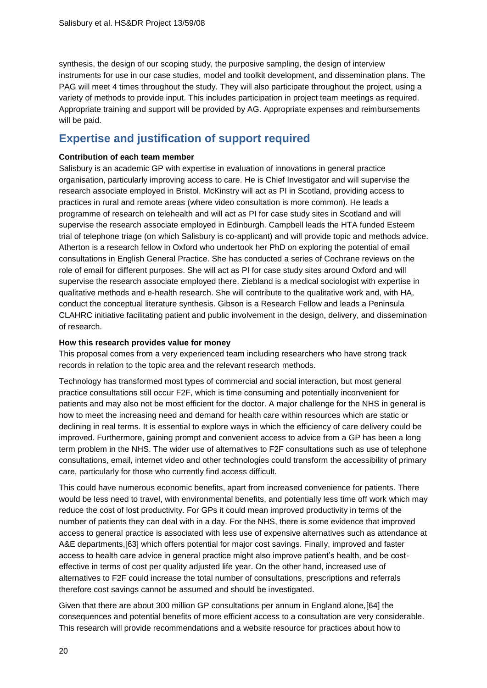synthesis, the design of our scoping study, the purposive sampling, the design of interview instruments for use in our case studies, model and toolkit development, and dissemination plans. The PAG will meet 4 times throughout the study. They will also participate throughout the project, using a variety of methods to provide input. This includes participation in project team meetings as required. Appropriate training and support will be provided by AG. Appropriate expenses and reimbursements will be paid.

## **Expertise and justification of support required**

#### **Contribution of each team member**

Salisbury is an academic GP with expertise in evaluation of innovations in general practice organisation, particularly improving access to care. He is Chief Investigator and will supervise the research associate employed in Bristol. McKinstry will act as PI in Scotland, providing access to practices in rural and remote areas (where video consultation is more common). He leads a programme of research on telehealth and will act as PI for case study sites in Scotland and will supervise the research associate employed in Edinburgh. Campbell leads the HTA funded Esteem trial of telephone triage (on which Salisbury is co-applicant) and will provide topic and methods advice. Atherton is a research fellow in Oxford who undertook her PhD on exploring the potential of email consultations in English General Practice. She has conducted a series of Cochrane reviews on the role of email for different purposes. She will act as PI for case study sites around Oxford and will supervise the research associate employed there. Ziebland is a medical sociologist with expertise in qualitative methods and e-health research. She will contribute to the qualitative work and, with HA, conduct the conceptual literature synthesis. Gibson is a Research Fellow and leads a Peninsula CLAHRC initiative facilitating patient and public involvement in the design, delivery, and dissemination of research.

#### **How this research provides value for money**

This proposal comes from a very experienced team including researchers who have strong track records in relation to the topic area and the relevant research methods.

Technology has transformed most types of commercial and social interaction, but most general practice consultations still occur F2F, which is time consuming and potentially inconvenient for patients and may also not be most efficient for the doctor. A major challenge for the NHS in general is how to meet the increasing need and demand for health care within resources which are static or declining in real terms. It is essential to explore ways in which the efficiency of care delivery could be improved. Furthermore, gaining prompt and convenient access to advice from a GP has been a long term problem in the NHS. The wider use of alternatives to F2F consultations such as use of telephone consultations, email, internet video and other technologies could transform the accessibility of primary care, particularly for those who currently find access difficult.

This could have numerous economic benefits, apart from increased convenience for patients. There would be less need to travel, with environmental benefits, and potentially less time off work which may reduce the cost of lost productivity. For GPs it could mean improved productivity in terms of the number of patients they can deal with in a day. For the NHS, there is some evidence that improved access to general practice is associated with less use of expensive alternatives such as attendance at A&E departments,[\[63\]](#page-22-5) which offers potential for major cost savings. Finally, improved and faster access to health care advice in general practice might also improve patient's health, and be costeffective in terms of cost per quality adjusted life year. On the other hand, increased use of alternatives to F2F could increase the total number of consultations, prescriptions and referrals therefore cost savings cannot be assumed and should be investigated.

Given that there are about 300 million GP consultations per annum in England alone,[\[64\]](#page-22-6) the consequences and potential benefits of more efficient access to a consultation are very considerable. This research will provide recommendations and a website resource for practices about how to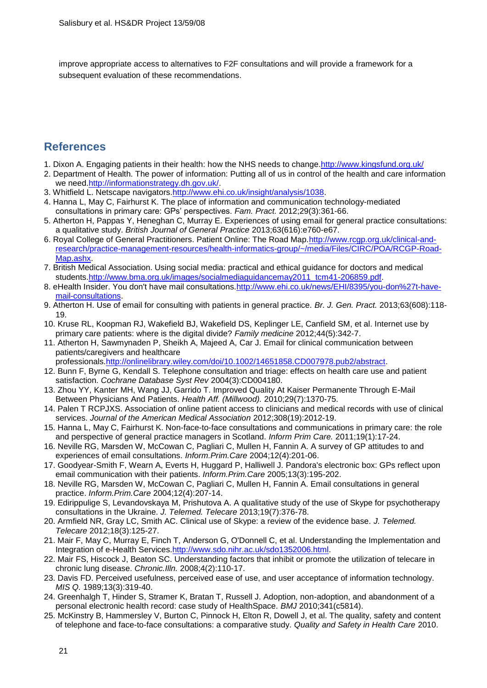improve appropriate access to alternatives to F2F consultations and will provide a framework for a subsequent evaluation of these recommendations.

## **References**

- <span id="page-20-0"></span>1. Dixon A. Engaging patients in their health: how the NHS needs to change[.http://www.kingsfund.org.uk/](http://www.kingsfund.org.uk/)
- <span id="page-20-1"></span>2. Department of Health. The power of information: Putting all of us in control of the health and care information we need[.http://informationstrategy.dh.gov.uk/.](http://informationstrategy.dh.gov.uk/)
- <span id="page-20-2"></span>3. Whitfield L. Netscape navigators[.http://www.ehi.co.uk/insight/analysis/1038.](http://www.ehi.co.uk/insight/analysis/1038)
- 4. Hanna L, May C, Fairhurst K. The place of information and communication technology-mediated consultations in primary care: GPs' perspectives. *Fam. Pract.* 2012;29(3):361-66.
- <span id="page-20-14"></span>5. Atherton H, Pappas Y, Heneghan C, Murray E. Experiences of using email for general practice consultations: a qualitative study. *British Journal of General Practice* 2013;63(616):e760-e67.
- <span id="page-20-3"></span>6. Royal College of General Practitioners. Patient Online: The Road Map. http://www.rcgp.org.uk/clinical-and[research/practice-management-resources/health-informatics-group/~/media/Files/CIRC/POA/RCGP-Road-](http://www.rcgp.org.uk/clinical-and-research/practice-management-resources/health-informatics-group/~/media/Files/CIRC/POA/RCGP-Road-Map.ashx)[Map.ashx.](http://www.rcgp.org.uk/clinical-and-research/practice-management-resources/health-informatics-group/~/media/Files/CIRC/POA/RCGP-Road-Map.ashx)
- <span id="page-20-4"></span>7. British Medical Association. Using social media: practical and ethical guidance for doctors and medical students[.http://www.bma.org.uk/images/socialmediaguidancemay2011\\_tcm41-206859.pdf.](http://www.bma.org.uk/images/socialmediaguidancemay2011_tcm41-206859.pdf)
- <span id="page-20-5"></span>8. eHealth Insider. You don't have mail consultations[.http://www.ehi.co.uk/news/EHI/8395/you-don%27t-have](http://www.ehi.co.uk/news/EHI/8395/you-don%27t-have-mail-consultations)[mail-consultations.](http://www.ehi.co.uk/news/EHI/8395/you-don%27t-have-mail-consultations)
- <span id="page-20-6"></span>9. Atherton H. Use of email for consulting with patients in general practice. *Br. J. Gen. Pract.* 2013;63(608):118- 19.
- <span id="page-20-7"></span>10. Kruse RL, Koopman RJ, Wakefield BJ, Wakefield DS, Keplinger LE, Canfield SM, et al. Internet use by primary care patients: where is the digital divide? *Family medicine* 2012;44(5):342-7.
- <span id="page-20-8"></span>11. Atherton H, Sawmynaden P, Sheikh A, Majeed A, Car J. Email for clinical communication between patients/caregivers and healthcare
	- professionals[.http://onlinelibrary.wiley.com/doi/10.1002/14651858.CD007978.pub2/abstract.](http://onlinelibrary.wiley.com/doi/10.1002/14651858.CD007978.pub2/abstract)
- <span id="page-20-9"></span>12. Bunn F, Byrne G, Kendall S. Telephone consultation and triage: effects on health care use and patient satisfaction. *Cochrane Database Syst Rev* 2004(3):CD004180.
- <span id="page-20-10"></span>13. Zhou YY, Kanter MH, Wang JJ, Garrido T. Improved Quality At Kaiser Permanente Through E-Mail Between Physicians And Patients. *Health Aff. (Millwood).* 2010;29(7):1370-75.
- <span id="page-20-11"></span>14. Palen T RCPJXS. Association of online patient access to clinicians and medical records with use of clinical services. *Journal of the American Medical Association* 2012;308(19):2012-19.
- <span id="page-20-12"></span>15. Hanna L, May C, Fairhurst K. Non-face-to-face consultations and communications in primary care: the role and perspective of general practice managers in Scotland. *Inform Prim Care.* 2011;19(1):17-24.
- <span id="page-20-13"></span>16. Neville RG, Marsden W, McCowan C, Pagliari C, Mullen H, Fannin A. A survey of GP attitudes to and experiences of email consultations. *Inform.Prim.Care* 2004;12(4):201-06.
- <span id="page-20-15"></span>17. Goodyear-Smith F, Wearn A, Everts H, Huggard P, Halliwell J. Pandora's electronic box: GPs reflect upon email communication with their patients. *Inform.Prim.Care* 2005;13(3):195-202.
- <span id="page-20-22"></span>18. Neville RG, Marsden W, McCowan C, Pagliari C, Mullen H, Fannin A. Email consultations in general practice. *Inform.Prim.Care* 2004;12(4):207-14.
- 19. Edirippulige S, Levandovskaya M, Prishutova A. A qualitative study of the use of Skype for psychotherapy consultations in the Ukraine. *J. Telemed. Telecare* 2013;19(7):376-78.
- <span id="page-20-16"></span>20. Armfield NR, Gray LC, Smith AC. Clinical use of Skype: a review of the evidence base. *J. Telemed. Telecare* 2012;18(3):125-27.
- <span id="page-20-17"></span>21. Mair F, May C, Murray E, Finch T, Anderson G, O'Donnell C, et al. Understanding the Implementation and Integration of e-Health Services[.http://www.sdo.nihr.ac.uk/sdo1352006.html.](http://www.sdo.nihr.ac.uk/sdo1352006.html)
- <span id="page-20-18"></span>22. Mair FS, Hiscock J, Beaton SC. Understanding factors that inhibit or promote the utilization of telecare in chronic lung disease. *Chronic.Illn.* 2008;4(2):110-17.
- <span id="page-20-19"></span>23. Davis FD. Perceived usefulness, perceived ease of use, and user acceptance of information technology. *MIS Q.* 1989;13(3):319-40.
- <span id="page-20-20"></span>24. Greenhalgh T, Hinder S, Stramer K, Bratan T, Russell J. Adoption, non-adoption, and abandonment of a personal electronic health record: case study of HealthSpace. *BMJ* 2010;341(c5814).
- <span id="page-20-21"></span>25. McKinstry B, Hammersley V, Burton C, Pinnock H, Elton R, Dowell J, et al. The quality, safety and content of telephone and face-to-face consultations: a comparative study. *Quality and Safety in Health Care* 2010.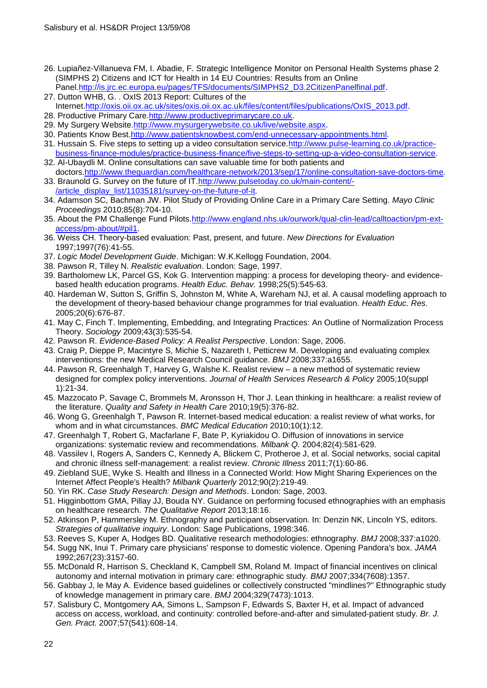- <span id="page-21-0"></span>26. Lupiañez-Villanueva FM, I. Abadie, F. Strategic Intelligence Monitor on Personal Health Systems phase 2 (SIMPHS 2) Citizens and ICT for Health in 14 EU Countries: Results from an Online Panel[.http://is.jrc.ec.europa.eu/pages/TFS/documents/SIMPHS2\\_D3.2CitizenPanelfinal.pdf.](http://is.jrc.ec.europa.eu/pages/TFS/documents/SIMPHS2_D3.2CitizenPanelfinal.pdf)
- <span id="page-21-1"></span>27. Dutton WHB, G. . OxIS 2013 Report: Cultures of the Internet[.http://oxis.oii.ox.ac.uk/sites/oxis.oii.ox.ac.uk/files/content/files/publications/OxIS\\_2013.pdf.](http://oxis.oii.ox.ac.uk/sites/oxis.oii.ox.ac.uk/files/content/files/publications/OxIS_2013.pdf)
- <span id="page-21-2"></span>28. Productive Primary Care[.http://www.productiveprimarycare.co.uk.](http://www.productiveprimarycare.co.uk/)
- <span id="page-21-3"></span>29. My Surgery Website[.http://www.mysurgerywebsite.co.uk/live/website.aspx.](http://www.mysurgerywebsite.co.uk/live/website.aspx)
- <span id="page-21-4"></span>30. Patients Know Best[.http://www.patientsknowbest.com/end-unnecessary-appointments.html.](http://www.patientsknowbest.com/end-unnecessary-appointments.html)
- <span id="page-21-5"></span>31. Hussain S. Five steps to setting up a video consultation service. http://www.pulse-learning.co.uk/practice[business-finance-modules/practice-business-finance/five-steps-to-setting-up-a-video-consultation-service.](http://www.pulse-learning.co.uk/practice-business-finance-modules/practice-business-finance/five-steps-to-setting-up-a-video-consultation-service)
- <span id="page-21-6"></span>32. Al-Ubaydli M. Online consultations can save valuable time for both patients and doctors[.http://www.theguardian.com/healthcare-network/2013/sep/17/online-consultation-save-doctors-time.](http://www.theguardian.com/healthcare-network/2013/sep/17/online-consultation-save-doctors-time)
- <span id="page-21-7"></span>33. Braunold G. Survey on the future of IT[.http://www.pulsetoday.co.uk/main-content/-](http://www.pulsetoday.co.uk/main-content/-/article_display_list/11035181/survey-on-the-future-of-it) [/article\\_display\\_list/11035181/survey-on-the-future-of-it.](http://www.pulsetoday.co.uk/main-content/-/article_display_list/11035181/survey-on-the-future-of-it)
- <span id="page-21-8"></span>34. Adamson SC, Bachman JW. Pilot Study of Providing Online Care in a Primary Care Setting. *Mayo Clinic Proceedings* 2010;85(8):704-10.
- <span id="page-21-9"></span>35. About the PM Challenge Fund Pilots[.http://www.england.nhs.uk/ourwork/qual-clin-lead/calltoaction/pm-ext](http://www.england.nhs.uk/ourwork/qual-clin-lead/calltoaction/pm-ext-access/pm-about/#pil1)[access/pm-about/#pil1.](http://www.england.nhs.uk/ourwork/qual-clin-lead/calltoaction/pm-ext-access/pm-about/#pil1)
- <span id="page-21-10"></span>36. Weiss CH. Theory-based evaluation: Past, present, and future. *New Directions for Evaluation* 1997;1997(76):41-55.
- <span id="page-21-11"></span>37. *Logic Model Development Guide*. Michigan: W.K.Kellogg Foundation, 2004.
- <span id="page-21-12"></span>38. Pawson R, Tilley N. *Realistic evaluation*. London: Sage, 1997.
- <span id="page-21-13"></span>39. Bartholomew LK, Parcel GS, Kok G. Intervention mapping: a process for developing theory- and evidencebased health education programs. *Health Educ. Behav.* 1998;25(5):545-63.
- <span id="page-21-14"></span>40. Hardeman W, Sutton S, Griffin S, Johnston M, White A, Wareham NJ, et al. A causal modelling approach to the development of theory-based behaviour change programmes for trial evaluation. *Health Educ. Res.* 2005;20(6):676-87.
- <span id="page-21-15"></span>41. May C, Finch T. Implementing, Embedding, and Integrating Practices: An Outline of Normalization Process Theory. *Sociology* 2009;43(3):535-54.
- <span id="page-21-16"></span>42. Pawson R. *Evidence-Based Policy: A Realist Perspective*. London: Sage, 2006.
- <span id="page-21-17"></span>43. Craig P, Dieppe P, Macintyre S, Michie S, Nazareth I, Petticrew M. Developing and evaluating complex interventions: the new Medical Research Council guidance. *BMJ* 2008;337:a1655.
- <span id="page-21-18"></span>44. Pawson R, Greenhalgh T, Harvey G, Walshe K. Realist review – a new method of systematic review designed for complex policy interventions. *Journal of Health Services Research & Policy* 2005;10(suppl 1):21-34.
- <span id="page-21-19"></span>45. Mazzocato P, Savage C, Brommels M, Aronsson H, Thor J. Lean thinking in healthcare: a realist review of the literature. *Quality and Safety in Health Care* 2010;19(5):376-82.
- <span id="page-21-20"></span>46. Wong G, Greenhalgh T, Pawson R. Internet-based medical education: a realist review of what works, for whom and in what circumstances. *BMC Medical Education* 2010;10(1):12.
- <span id="page-21-21"></span>47. Greenhalgh T, Robert G, Macfarlane F, Bate P, Kyriakidou O. Diffusion of innovations in service organizations: systematic review and recommendations. *Milbank Q.* 2004;82(4):581-629.
- <span id="page-21-22"></span>48. Vassilev I, Rogers A, Sanders C, Kennedy A, Blickem C, Protheroe J, et al. Social networks, social capital and chronic illness self-management: a realist review. *Chronic Illness* 2011;7(1):60-86.
- <span id="page-21-23"></span>49. Ziebland SUE, Wyke S. Health and Illness in a Connected World: How Might Sharing Experiences on the Internet Affect People's Health? *Milbank Quarterly* 2012;90(2):219-49.
- <span id="page-21-24"></span>50. Yin RK. *Case Study Research: Design and Methods*. London: Sage, 2003.
- <span id="page-21-25"></span>51. Higginbottom GMA, Pillay JJ, Bouda NY. Guidance on performing focused ethnographies with an emphasis on healthcare research. *The Qualitative Report* 2013;18:16.
- <span id="page-21-26"></span>52. Atkinson P, Hammersley M. Ethnography and participant observation. In: Denzin NK, Lincoln YS, editors. *Strategies of qualitative inquiry*. London: Sage Publications, 1998:346.
- <span id="page-21-27"></span>53. Reeves S, Kuper A, Hodges BD. Qualitative research methodologies: ethnography. *BMJ* 2008;337:a1020.
- <span id="page-21-28"></span>54. Sugg NK, Inui T. Primary care physicians' response to domestic violence. Opening Pandora's box. *JAMA* 1992;267(23):3157-60.
- <span id="page-21-31"></span>55. McDonald R, Harrison S, Checkland K, Campbell SM, Roland M. Impact of financial incentives on clinical autonomy and internal motivation in primary care: ethnographic study. *BMJ* 2007;334(7608):1357.
- <span id="page-21-29"></span>56. Gabbay J, le May A. Evidence based guidelines or collectively constructed "mindlines?" Ethnographic study of knowledge management in primary care. *BMJ* 2004;329(7473):1013.
- <span id="page-21-30"></span>57. Salisbury C, Montgomery AA, Simons L, Sampson F, Edwards S, Baxter H, et al. Impact of advanced access on access, workload, and continuity: controlled before-and-after and simulated-patient study. *Br. J. Gen. Pract.* 2007;57(541):608-14.